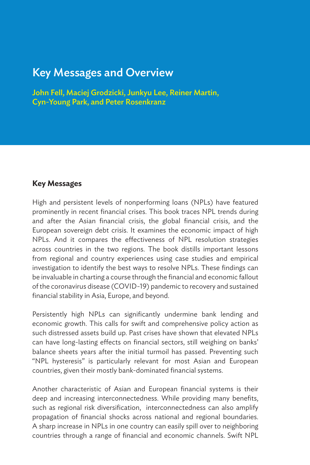# Key Messages and Overview

John Fell, Maciej Grodzicki, Junkyu Lee, Reiner Martin, Cyn-Young Park, and Peter Rosenkranz

## **Key Messages**

High and persistent levels of nonperforming loans (NPLs) have featured prominently in recent financial crises. This book traces NPL trends during and after the Asian financial crisis, the global financial crisis, and the European sovereign debt crisis. It examines the economic impact of high NPLs. And it compares the effectiveness of NPL resolution strategies across countries in the two regions. The book distills important lessons from regional and country experiences using case studies and empirical investigation to identify the best ways to resolve NPLs. These findings can be invaluable in charting a course through the financial and economic fallout of the coronavirus disease (COVID-19) pandemic to recovery and sustained financial stability in Asia, Europe, and beyond.

Persistently high NPLs can significantly undermine bank lending and economic growth. This calls for swift and comprehensive policy action as such distressed assets build up. Past crises have shown that elevated NPLs can have long-lasting effects on financial sectors, still weighing on banks' balance sheets years after the initial turmoil has passed. Preventing such "NPL hysteresis" is particularly relevant for most Asian and European countries, given their mostly bank-dominated financial systems.

Another characteristic of Asian and European financial systems is their deep and increasing interconnectedness. While providing many benefits, such as regional risk diversification, interconnectedness can also amplify propagation of financial shocks across national and regional boundaries. A sharp increase in NPLs in one country can easily spill over to neighboring countries through a range of financial and economic channels. Swift NPL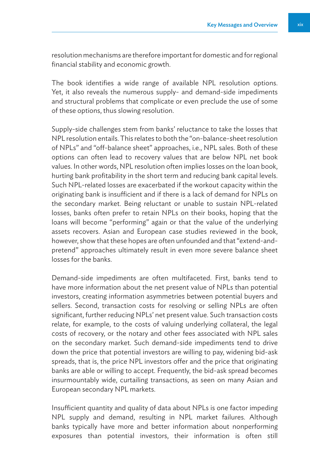resolution mechanisms are therefore important for domestic and for regional financial stability and economic growth.

The book identifies a wide range of available NPL resolution options. Yet, it also reveals the numerous supply- and demand-side impediments and structural problems that complicate or even preclude the use of some of these options, thus slowing resolution.

Supply-side challenges stem from banks' reluctance to take the losses that NPL resolution entails. This relates to both the "on-balance-sheet resolution of NPLs" and "off-balance sheet" approaches, i.e., NPL sales. Both of these options can often lead to recovery values that are below NPL net book values. In other words, NPL resolution often implies losses on the loan book, hurting bank profitability in the short term and reducing bank capital levels. Such NPL-related losses are exacerbated if the workout capacity within the originating bank is insufficient and if there is a lack of demand for NPLs on the secondary market. Being reluctant or unable to sustain NPL-related losses, banks often prefer to retain NPLs on their books, hoping that the loans will become "performing" again or that the value of the underlying assets recovers. Asian and European case studies reviewed in the book, however, show that these hopes are often unfounded and that "extend-andpretend" approaches ultimately result in even more severe balance sheet losses for the banks.

Demand-side impediments are often multifaceted. First, banks tend to have more information about the net present value of NPLs than potential investors, creating information asymmetries between potential buyers and sellers. Second, transaction costs for resolving or selling NPLs are often significant, further reducing NPLs' net present value. Such transaction costs relate, for example, to the costs of valuing underlying collateral, the legal costs of recovery, or the notary and other fees associated with NPL sales on the secondary market. Such demand-side impediments tend to drive down the price that potential investors are willing to pay, widening bid-ask spreads, that is, the price NPL investors offer and the price that originating banks are able or willing to accept. Frequently, the bid-ask spread becomes insurmountably wide, curtailing transactions, as seen on many Asian and European secondary NPL markets.

Insufficient quantity and quality of data about NPLs is one factor impeding NPL supply and demand, resulting in NPL market failures. Although banks typically have more and better information about nonperforming exposures than potential investors, their information is often still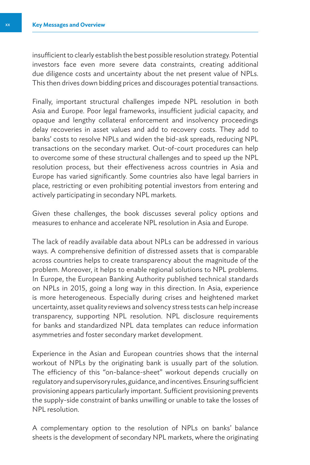insufficient to clearly establish the best possible resolution strategy. Potential investors face even more severe data constraints, creating additional due diligence costs and uncertainty about the net present value of NPLs. This then drives down bidding prices and discourages potential transactions.

Finally, important structural challenges impede NPL resolution in both Asia and Europe. Poor legal frameworks, insufficient judicial capacity, and opaque and lengthy collateral enforcement and insolvency proceedings delay recoveries in asset values and add to recovery costs. They add to banks' costs to resolve NPLs and widen the bid-ask spreads, reducing NPL transactions on the secondary market. Out-of-court procedures can help to overcome some of these structural challenges and to speed up the NPL resolution process, but their effectiveness across countries in Asia and Europe has varied significantly. Some countries also have legal barriers in place, restricting or even prohibiting potential investors from entering and actively participating in secondary NPL markets.

Given these challenges, the book discusses several policy options and measures to enhance and accelerate NPL resolution in Asia and Europe.

The lack of readily available data about NPLs can be addressed in various ways. A comprehensive definition of distressed assets that is comparable across countries helps to create transparency about the magnitude of the problem. Moreover, it helps to enable regional solutions to NPL problems. In Europe, the European Banking Authority published technical standards on NPLs in 2015, going a long way in this direction. In Asia, experience is more heterogeneous. Especially during crises and heightened market uncertainty, asset quality reviews and solvency stress tests can help increase transparency, supporting NPL resolution. NPL disclosure requirements for banks and standardized NPL data templates can reduce information asymmetries and foster secondary market development.

Experience in the Asian and European countries shows that the internal workout of NPLs by the originating bank is usually part of the solution. The efficiency of this "on-balance-sheet" workout depends crucially on regulatory and supervisory rules, guidance, and incentives. Ensuring sufficient provisioning appears particularly important. Sufficient provisioning prevents the supply-side constraint of banks unwilling or unable to take the losses of NPL resolution.

A complementary option to the resolution of NPLs on banks' balance sheets is the development of secondary NPL markets, where the originating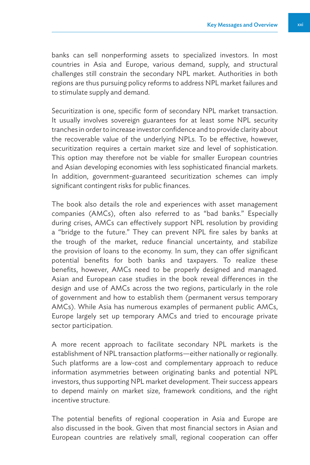banks can sell nonperforming assets to specialized investors. In most countries in Asia and Europe, various demand, supply, and structural challenges still constrain the secondary NPL market. Authorities in both regions are thus pursuing policy reforms to address NPL market failures and to stimulate supply and demand.

Securitization is one, specific form of secondary NPL market transaction. It usually involves sovereign guarantees for at least some NPL security tranches in order to increase investor confidence and to provide clarity about the recoverable value of the underlying NPLs. To be effective, however, securitization requires a certain market size and level of sophistication. This option may therefore not be viable for smaller European countries and Asian developing economies with less sophisticated financial markets. In addition, government-guaranteed securitization schemes can imply significant contingent risks for public finances.

The book also details the role and experiences with asset management companies (AMCs), often also referred to as "bad banks." Especially during crises, AMCs can effectively support NPL resolution by providing a "bridge to the future." They can prevent NPL fire sales by banks at the trough of the market, reduce financial uncertainty, and stabilize the provision of loans to the economy. In sum, they can offer significant potential benefits for both banks and taxpayers. To realize these benefits, however, AMCs need to be properly designed and managed. Asian and European case studies in the book reveal differences in the design and use of AMCs across the two regions, particularly in the role of government and how to establish them (permanent versus temporary AMCs). While Asia has numerous examples of permanent public AMCs, Europe largely set up temporary AMCs and tried to encourage private sector participation.

A more recent approach to facilitate secondary NPL markets is the establishment of NPL transaction platforms—either nationally or regionally. Such platforms are a low-cost and complementary approach to reduce information asymmetries between originating banks and potential NPL investors, thus supporting NPL market development. Their success appears to depend mainly on market size, framework conditions, and the right incentive structure.

The potential benefits of regional cooperation in Asia and Europe are also discussed in the book. Given that most financial sectors in Asian and European countries are relatively small, regional cooperation can offer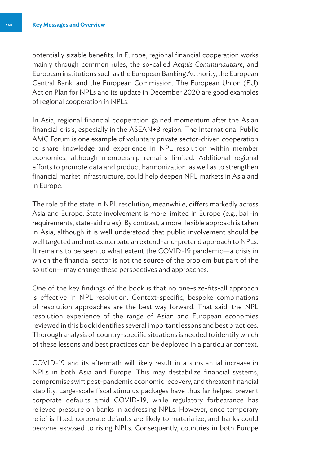potentially sizable benefits. In Europe, regional financial cooperation works mainly through common rules, the so-called *Acquis Communautaire*, and European institutions such as the European Banking Authority, the European Central Bank, and the European Commission. The European Union (EU) Action Plan for NPLs and its update in December 2020 are good examples of regional cooperation in NPLs.

In Asia, regional financial cooperation gained momentum after the Asian financial crisis, especially in the ASEAN+3 region. The International Public AMC Forum is one example of voluntary private sector-driven cooperation to share knowledge and experience in NPL resolution within member economies, although membership remains limited. Additional regional efforts to promote data and product harmonization, as well as to strengthen financial market infrastructure, could help deepen NPL markets in Asia and in Europe.

The role of the state in NPL resolution, meanwhile, differs markedly across Asia and Europe. State involvement is more limited in Europe (e.g., bail-in requirements, state-aid rules). By contrast, a more flexible approach is taken in Asia, although it is well understood that public involvement should be well targeted and not exacerbate an extend-and-pretend approach to NPLs. It remains to be seen to what extent the COVID-19 pandemic—a crisis in which the financial sector is not the source of the problem but part of the solution—may change these perspectives and approaches.

One of the key findings of the book is that no one-size-fits-all approach is effective in NPL resolution. Context-specific, bespoke combinations of resolution approaches are the best way forward. That said, the NPL resolution experience of the range of Asian and European economies reviewed in this book identifies several important lessons and best practices. Thorough analysis of country-specific situations is needed to identify which of these lessons and best practices can be deployed in a particular context.

COVID-19 and its aftermath will likely result in a substantial increase in NPLs in both Asia and Europe. This may destabilize financial systems, compromise swift post-pandemic economic recovery, and threaten financial stability. Large-scale fiscal stimulus packages have thus far helped prevent corporate defaults amid COVID-19, while regulatory forbearance has relieved pressure on banks in addressing NPLs. However, once temporary relief is lifted, corporate defaults are likely to materialize, and banks could become exposed to rising NPLs. Consequently, countries in both Europe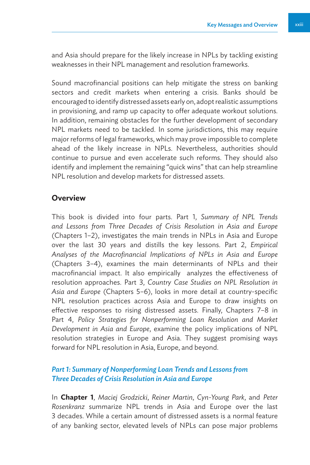and Asia should prepare for the likely increase in NPLs by tackling existing weaknesses in their NPL management and resolution frameworks.

Sound macrofinancial positions can help mitigate the stress on banking sectors and credit markets when entering a crisis. Banks should be encouraged to identify distressed assets early on, adopt realistic assumptions in provisioning, and ramp up capacity to offer adequate workout solutions. In addition, remaining obstacles for the further development of secondary NPL markets need to be tackled. In some jurisdictions, this may require major reforms of legal frameworks, which may prove impossible to complete ahead of the likely increase in NPLs. Nevertheless, authorities should continue to pursue and even accelerate such reforms. They should also identify and implement the remaining "quick wins" that can help streamline NPL resolution and develop markets for distressed assets.

#### **Overview**

This book is divided into four parts. Part 1, *Summary of NPL Trends and Lessons from Three Decades of Crisis Resolution in Asia and Europe*  (Chapters 1–2), investigates the main trends in NPLs in Asia and Europe over the last 30 years and distills the key lessons. Part 2, *Empirical Analyses of the Macrofinancial Implications of NPLs in Asia and Europe* (Chapters 3–4), examines the main determinants of NPLs and their macrofinancial impact. It also empirically analyzes the effectiveness of resolution approaches. Part 3, *Country Case Studies on NPL Resolution in Asia and Europe* (Chapters 5–6), looks in more detail at country-specific NPL resolution practices across Asia and Europe to draw insights on effective responses to rising distressed assets. Finally, Chapters 7–8 in Part 4, *Policy Strategies for Nonperforming Loan Resolution and Market Development in Asia and Europe*, examine the policy implications of NPL resolution strategies in Europe and Asia. They suggest promising ways forward for NPL resolution in Asia, Europe, and beyond.

#### *Part 1: Summary of Nonperforming Loan Trends and Lessons from Three Decades of Crisis Resolution in Asia and Europe*

In **Chapter 1**, *Maciej Grodzicki*, *Reiner Martin*, *Cyn-Young Park*, and *Peter Rosenkranz* summarize NPL trends in Asia and Europe over the last 3 decades. While a certain amount of distressed assets is a normal feature of any banking sector, elevated levels of NPLs can pose major problems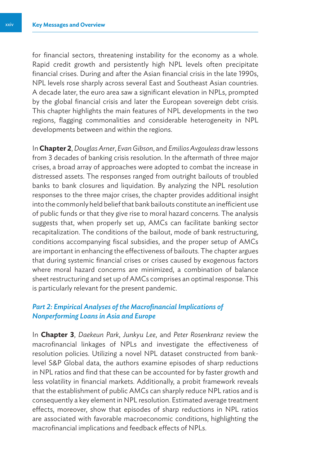for financial sectors, threatening instability for the economy as a whole. Rapid credit growth and persistently high NPL levels often precipitate financial crises. During and after the Asian financial crisis in the late 1990s, NPL levels rose sharply across several East and Southeast Asian countries. A decade later, the euro area saw a significant elevation in NPLs, prompted by the global financial crisis and later the European sovereign debt crisis. This chapter highlights the main features of NPL developments in the two regions, flagging commonalities and considerable heterogeneity in NPL developments between and within the regions.

In **Chapter 2**, *Douglas Arner*, *Evan Gibson*, and *Emilios Avgouleas* draw lessons from 3 decades of banking crisis resolution. In the aftermath of three major crises, a broad array of approaches were adopted to combat the increase in distressed assets. The responses ranged from outright bailouts of troubled banks to bank closures and liquidation. By analyzing the NPL resolution responses to the three major crises, the chapter provides additional insight into the commonly held belief that bank bailouts constitute an inefficient use of public funds or that they give rise to moral hazard concerns. The analysis suggests that, when properly set up, AMCs can facilitate banking sector recapitalization. The conditions of the bailout, mode of bank restructuring, conditions accompanying fiscal subsidies, and the proper setup of AMCs are important in enhancing the effectiveness of bailouts. The chapter argues that during systemic financial crises or crises caused by exogenous factors where moral hazard concerns are minimized, a combination of balance sheet restructuring and set up of AMCs comprises an optimal response. This is particularly relevant for the present pandemic.

### *Part 2: Empirical Analyses of the Macrofinancial Implications of Nonperforming Loans in Asia and Europe*

In **Chapter 3**, *Daekeun Park*, *Junkyu Lee*, and *Peter Rosenkranz* review the macrofinancial linkages of NPLs and investigate the effectiveness of resolution policies. Utilizing a novel NPL dataset constructed from banklevel S&P Global data, the authors examine episodes of sharp reductions in NPL ratios and find that these can be accounted for by faster growth and less volatility in financial markets. Additionally, a probit framework reveals that the establishment of public AMCs can sharply reduce NPL ratios and is consequently a key element in NPL resolution. Estimated average treatment effects, moreover, show that episodes of sharp reductions in NPL ratios are associated with favorable macroeconomic conditions, highlighting the macrofinancial implications and feedback effects of NPLs.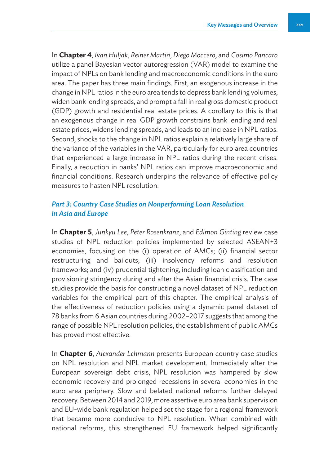In **Chapter 4**, *Ivan Huljak*, *Reiner Martin*, *Diego Moccero*, and *Cosimo Pancaro*  utilize a panel Bayesian vector autoregression (VAR) model to examine the impact of NPLs on bank lending and macroeconomic conditions in the euro area. The paper has three main findings. First, an exogenous increase in the change in NPL ratios in the euro area tends to depress bank lending volumes, widen bank lending spreads, and prompt a fall in real gross domestic product (GDP) growth and residential real estate prices. A corollary to this is that an exogenous change in real GDP growth constrains bank lending and real estate prices, widens lending spreads, and leads to an increase in NPL ratios. Second, shocks to the change in NPL ratios explain a relatively large share of the variance of the variables in the VAR, particularly for euro area countries that experienced a large increase in NPL ratios during the recent crises. Finally, a reduction in banks' NPL ratios can improve macroeconomic and financial conditions. Research underpins the relevance of effective policy measures to hasten NPL resolution.

### *Part 3: Country Case Studies on Nonperforming Loan Resolution in Asia and Europe*

In **Chapter 5**, *Junkyu Lee*, *Peter Rosenkranz*, and *Edimon Ginting* review case studies of NPL reduction policies implemented by selected ASEAN+3 economies, focusing on the (i) operation of AMCs; (ii) financial sector restructuring and bailouts; (iii) insolvency reforms and resolution frameworks; and (iv) prudential tightening, including loan classification and provisioning stringency during and after the Asian financial crisis. The case studies provide the basis for constructing a novel dataset of NPL reduction variables for the empirical part of this chapter. The empirical analysis of the effectiveness of reduction policies using a dynamic panel dataset of 78 banks from 6 Asian countries during 2002–2017 suggests that among the range of possible NPL resolution policies, the establishment of public AMCs has proved most effective.

In **Chapter 6**, *Alexander Lehmann* presents European country case studies on NPL resolution and NPL market development. Immediately after the European sovereign debt crisis, NPL resolution was hampered by slow economic recovery and prolonged recessions in several economies in the euro area periphery. Slow and belated national reforms further delayed recovery. Between 2014 and 2019, more assertive euro area bank supervision and EU-wide bank regulation helped set the stage for a regional framework that became more conducive to NPL resolution. When combined with national reforms, this strengthened EU framework helped significantly